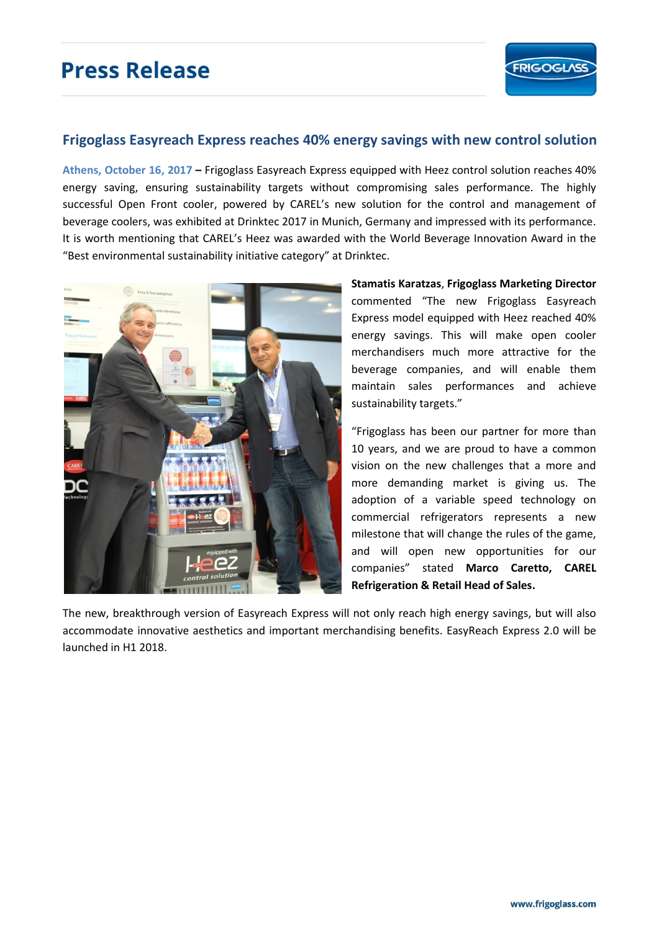# **Press Release**



## **Frigoglass Easyreach Express reaches 40% energy savings with new control solution**

**Athens, October 16, 2017 –** Frigoglass Easyreach Express equipped with Heez control solution reaches 40% energy saving, ensuring sustainability targets without compromising sales performance. The highly successful Open Front cooler, powered by CAREL's new solution for the control and management of beverage coolers, was exhibited at Drinktec 2017 in Munich, Germany and impressed with its performance. It is worth mentioning that CAREL's Heez was awarded with the World Beverage Innovation Award in the "Best environmental sustainability initiative category" at Drinktec.



**Stamatis Karatzas**, **Frigoglass Marketing Director** commented "The new Frigoglass Easyreach Express model equipped with Heez reached 40% energy savings. This will make open cooler merchandisers much more attractive for the beverage companies, and will enable them maintain sales performances and achieve sustainability targets."

"Frigoglass has been our partner for more than 10 years, and we are proud to have a common vision on the new challenges that a more and more demanding market is giving us. The adoption of a variable speed technology on commercial refrigerators represents a new milestone that will change the rules of the game, and will open new opportunities for our companies" stated **Marco Caretto, CAREL Refrigeration & Retail Head of Sales.** 

The new, breakthrough version of Easyreach Express will not only reach high energy savings, but will also accommodate innovative aesthetics and important merchandising benefits. EasyReach Express 2.0 will be launched in H1 2018.